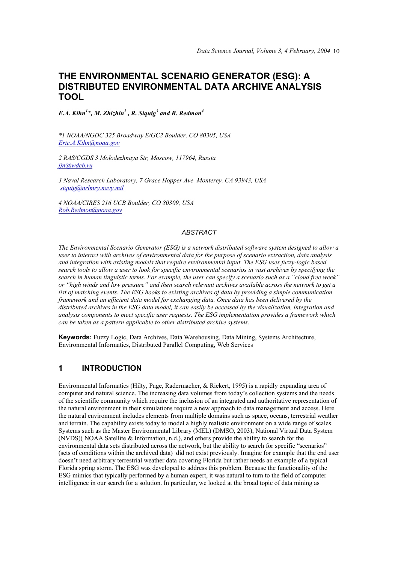# **THE ENVIRONMENTAL SCENARIO GENERATOR (ESG): A DISTRIBUTED ENVIRONMENTAL DATA ARCHIVE ANALYSIS TOOL**

*E.A. Kihn<sup>1</sup> \*, M. Zhizhin<sup>2</sup> , R. Siquig<sup>3</sup> and R. Redmon4*

*\*1 NOAA/NGDC 325 Broadway E/GC2 Boulder, CO 80305, USA Eric.A.Kihn@noaa.gov*

*2 RAS/CGDS 3 Molodezhnaya Str, Moscow, 117964, Russia jjn@wdcb.ru*

*3 Naval Research Laboratory, 7 Grace Hopper Ave, Monterey, CA 93943, USA siquig@nrlmry.navy.mil*

*4 NOAA/CIRES 216 UCB Boulder, CO 80309, USA Rob.Redmon@noaa.gov* 

#### *ABSTRACT*

*The Environmental Scenario Generator (ESG) is a network distributed software system designed to allow a user to interact with archives of environmental data for the purpose of scenario extraction, data analysis and integration with existing models that require environmental input. The ESG uses fuzzy-logic based search tools to allow a user to look for specific environmental scenarios in vast archives by specifying the search in human linguistic terms. For example, the user can specify a scenario such as a "cloud free week" or "high winds and low pressure" and then search relevant archives available across the network to get a list of matching events. The ESG hooks to existing archives of data by providing a simple communication framework and an efficient data model for exchanging data. Once data has been delivered by the distributed archives in the ESG data model, it can easily be accessed by the visualization, integration and analysis components to meet specific user requests. The ESG implementation provides a framework which can be taken as a pattern applicable to other distributed archive systems.* 

**Keywords:** Fuzzy Logic, Data Archives, Data Warehousing, Data Mining, Systems Architecture, Environmental Informatics, Distributed Parallel Computing, Web Services

#### **1 INTRODUCTION**

Environmental Informatics (Hilty, Page, Radermacher, & Riekert, 1995) is a rapidly expanding area of computer and natural science. The increasing data volumes from today's collection systems and the needs of the scientific community which require the inclusion of an integrated and authoritative representation of the natural environment in their simulations require a new approach to data management and access. Here the natural environment includes elements from multiple domains such as space, oceans, terrestrial weather and terrain. The capability exists today to model a highly realistic environment on a wide range of scales. Systems such as the Master Environmental Library (MEL) (DMSO, 2003), National Virtual Data System (NVDS)( NOAA Satellite & Information, n.d.), and others provide the ability to search for the environmental data sets distributed across the network, but the ability to search for specific "scenarios" (sets of conditions within the archived data) did not exist previously. Imagine for example that the end user doesn't need arbitrary terrestrial weather data covering Florida but rather needs an example of a typical Florida spring storm. The ESG was developed to address this problem. Because the functionality of the ESG mimics that typically performed by a human expert, it was natural to turn to the field of computer intelligence in our search for a solution. In particular, we looked at the broad topic of data mining as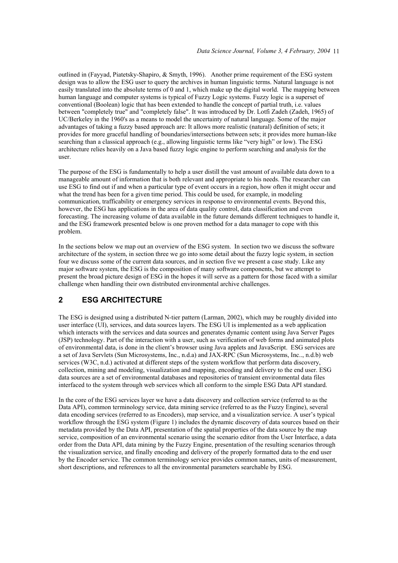outlined in (Fayyad, Piatetsky-Shapiro, & Smyth, 1996). Another prime requirement of the ESG system design was to allow the ESG user to query the archives in human linguistic terms. Natural language is not easily translated into the absolute terms of 0 and 1, which make up the digital world. The mapping between human language and computer systems is typical of Fuzzy Logic systems. Fuzzy logic is a superset of conventional (Boolean) logic that has been extended to handle the concept of partial truth, i.e. values between "completely true" and "completely false". It was introduced by Dr. Lotfi Zadeh (Zadeh, 1965) of UC/Berkeley in the 1960's as a means to model the uncertainty of natural language. Some of the major advantages of taking a fuzzy based approach are: It allows more realistic (natural) definition of sets; it provides for more graceful handling of boundaries/intersections between sets; it provides more human-like searching than a classical approach (e.g., allowing linguistic terms like "very high" or low). The ESG architecture relies heavily on a Java based fuzzy logic engine to perform searching and analysis for the user.

The purpose of the ESG is fundamentally to help a user distill the vast amount of available data down to a manageable amount of information that is both relevant and appropriate to his needs. The researcher can use ESG to find out if and when a particular type of event occurs in a region, how often it might occur and what the trend has been for a given time period. This could be used, for example, in modeling communication, trafficability or emergency services in response to environmental events. Beyond this, however, the ESG has applications in the area of data quality control, data classification and even forecasting. The increasing volume of data available in the future demands different techniques to handle it, and the ESG framework presented below is one proven method for a data manager to cope with this problem.

In the sections below we map out an overview of the ESG system. In section two we discuss the software architecture of the system, in section three we go into some detail about the fuzzy logic system, in section four we discuss some of the current data sources, and in section five we present a case study. Like any major software system, the ESG is the composition of many software components, but we attempt to present the broad picture design of ESG in the hopes it will serve as a pattern for those faced with a similar challenge when handling their own distributed environmental archive challenges.

### **2 ESG ARCHITECTURE**

The ESG is designed using a distributed N-tier pattern (Larman, 2002), which may be roughly divided into user interface (UI), services, and data sources layers. The ESG UI is implemented as a web application which interacts with the services and data sources and generates dynamic content using Java Server Pages (JSP) technology. Part of the interaction with a user, such as verification of web forms and animated plots of environmental data, is done in the client's browser using Java applets and JavaScript. ESG services are a set of Java Servlets (Sun Microsystems, Inc., n.d.a) and JAX-RPC (Sun Microsystems, Inc.., n.d.b) web services (W3C, n.d.) activated at different steps of the system workflow that perform data discovery, collection, mining and modeling, visualization and mapping, encoding and delivery to the end user. ESG data sources are a set of environmental databases and repositories of transient environmental data files interfaced to the system through web services which all conform to the simple ESG Data API standard.

In the core of the ESG services layer we have a data discovery and collection service (referred to as the Data API), common terminology service, data mining service (referred to as the Fuzzy Engine), several data encoding services (referred to as Encoders), map service, and a visualization service. A user's typical workflow through the ESG system (Figure 1) includes the dynamic discovery of data sources based on their metadata provided by the Data API, presentation of the spatial properties of the data source by the map service, composition of an environmental scenario using the scenario editor from the User Interface, a data order from the Data API, data mining by the Fuzzy Engine, presentation of the resulting scenarios through the visualization service, and finally encoding and delivery of the properly formatted data to the end user by the Encoder service. The common terminology service provides common names, units of measurement, short descriptions, and references to all the environmental parameters searchable by ESG.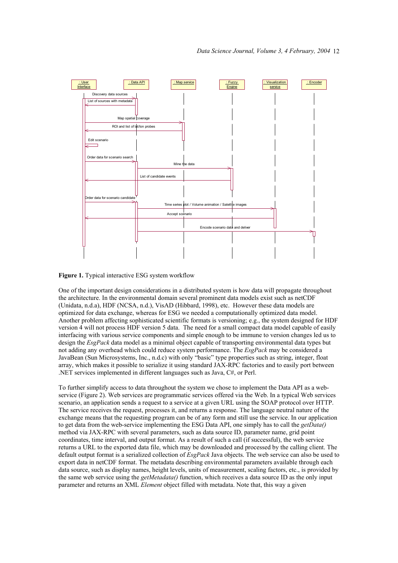

**Figure 1.** Typical interactive ESG system workflow

One of the important design considerations in a distributed system is how data will propagate throughout the architecture. In the environmental domain several prominent data models exist such as netCDF (Unidata, n.d.a), HDF (NCSA, n.d.), VisAD (Hibbard, 1998), etc. However these data models are optimized for data exchange, whereas for ESG we needed a computationally optimized data model. Another problem affecting sophisticated scientific formats is versioning; e.g., the system designed for HDF version 4 will not process HDF version 5 data. The need for a small compact data model capable of easily interfacing with various service components and simple enough to be immune to version changes led us to design the *EsgPack* data model as a minimal object capable of transporting environmental data types but not adding any overhead which could reduce system performance. The *EsgPack* may be considered a JavaBean (Sun Microsystems, Inc., n.d.c) with only "basic" type properties such as string, integer, float array, which makes it possible to serialize it using standard JAX-RPC factories and to easily port between .NET services implemented in different languages such as Java, C#, or Perl.

To further simplify access to data throughout the system we chose to implement the Data API as a webservice (Figure 2). Web services are programmatic services offered via the Web. In a typical Web services scenario, an application sends a request to a service at a given URL using the SOAP protocol over HTTP. The service receives the request, processes it, and returns a response. The language neutral nature of the exchange means that the requesting program can be of any form and still use the service. In our application to get data from the web-service implementing the ESG Data API, one simply has to call the *getData()* method via JAX-RPC with several parameters, such as data source ID, parameter name, grid point coordinates, time interval, and output format. As a result of such a call (if successful), the web service returns a URL to the exported data file, which may be downloaded and processed by the calling client. The default output format is a serialized collection of *EsgPack* Java objects. The web service can also be used to export data in netCDF format. The metadata describing environmental parameters available through each data source, such as display names, height levels, units of measurement, scaling factors, etc., is provided by the same web service using the *getMetadata()* function, which receives a data source ID as the only input parameter and returns an XML *Element* object filled with metadata. Note that, this way a given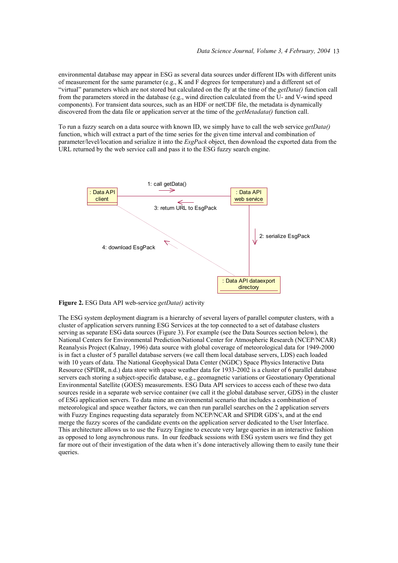environmental database may appear in ESG as several data sources under different IDs with different units of measurement for the same parameter (e.g., K and F degrees for temperature) and a different set of "virtual" parameters which are not stored but calculated on the fly at the time of the *getData()* function call from the parameters stored in the database (e.g., wind direction calculated from the U- and V-wind speed components). For transient data sources, such as an HDF or netCDF file, the metadata is dynamically discovered from the data file or application server at the time of the *getMetadata()* function call.

To run a fuzzy search on a data source with known ID, we simply have to call the web service *getData()* function, which will extract a part of the time series for the given time interval and combination of parameter/level/location and serialize it into the *EsgPack* object, then download the exported data from the URL returned by the web service call and pass it to the ESG fuzzy search engine.



**Figure 2.** ESG Data API web-service *getData()* activity

The ESG system deployment diagram is a hierarchy of several layers of parallel computer clusters, with a cluster of application servers running ESG Services at the top connected to a set of database clusters serving as separate ESG data sources (Figure 3). For example (see the Data Sources section below), the National Centers for Environmental Prediction/National Center for Atmospheric Research (NCEP/NCAR) Reanalysis Project (Kalnay, 1996) data source with global coverage of meteorological data for 1949-2000 is in fact a cluster of 5 parallel database servers (we call them local database servers, LDS) each loaded with 10 years of data. The National Geophysical Data Center (NGDC) Space Physics Interactive Data Resource (SPIDR, n.d.) data store with space weather data for 1933-2002 is a cluster of 6 parallel database servers each storing a subject-specific database, e.g., geomagnetic variations or Geostationary Operational Environmental Satellite (GOES) measurements. ESG Data API services to access each of these two data sources reside in a separate web service container (we call it the global database server, GDS) in the cluster of ESG application servers. To data mine an environmental scenario that includes a combination of meteorological and space weather factors, we can then run parallel searches on the 2 application servers with Fuzzy Engines requesting data separately from NCEP/NCAR and SPIDR GDS's, and at the end merge the fuzzy scores of the candidate events on the application server dedicated to the User Interface. This architecture allows us to use the Fuzzy Engine to execute very large queries in an interactive fashion as opposed to long asynchronous runs. In our feedback sessions with ESG system users we find they get far more out of their investigation of the data when it's done interactively allowing them to easily tune their queries.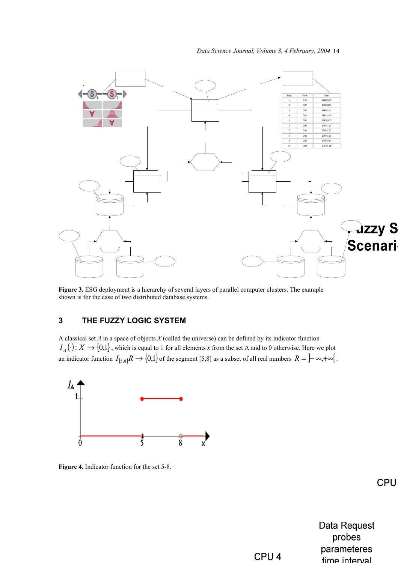

**Figure 3.** ESG deployment is a hierarchy of several layers of parallel computer clusters. The example shown is for the case of two distributed database systems.

# **3 THE FUZZY LOGIC SYSTEM**

A classical set *A* in a space of objects *X* (called the universe) can be defined by its indicator function  $I_A(\cdot): X \to \{0,1\}$ , which is equal to 1 for all elements *x* from the set A and to 0 otherwise. Here we plot an indicator function  $I_{[5,8]}R \to \{0,1\}$  of the segment [5,8] as a subset of all real numbers  $R = \left[-\infty, +\infty\right]$ .



**Figure 4.** Indicator function for the set 5-8.

CPU

**Data Request** probes parameteres time interval

CPU<sub>4</sub>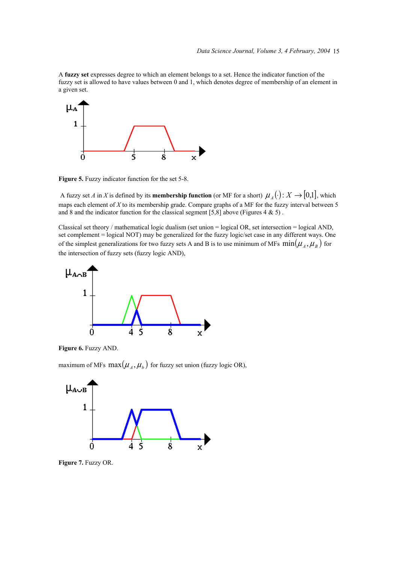A **fuzzy set** expresses degree to which an element belongs to a set. Hence the indicator function of the fuzzy set is allowed to have values between 0 and 1, which denotes degree of membership of an element in a given set.



**Figure 5.** Fuzzy indicator function for the set 5-8.

A fuzzy set *A* in *X* is defined by its **membership function** (or MF for a short)  $\mu_A(\cdot) : X \to [0,1]$ , which maps each element of *X* to its membership grade. Compare graphs of a MF for the fuzzy interval between 5 and 8 and the indicator function for the classical segment  $[5,8]$  above (Figures 4 & 5).

Classical set theory / mathematical logic dualism (set union  $=$  logical OR, set intersection  $=$  logical AND, set complement = logical NOT) may be generalized for the fuzzy logic/set case in any different ways. One of the simplest generalizations for two fuzzy sets A and B is to use minimum of MFs  $\min(\mu_A, \mu_B)$  for the intersection of fuzzy sets (fuzzy logic AND),



**Figure 6.** Fuzzy AND.

maximum of MFs  $max(\mu_A, \mu_b)$  for fuzzy set union (fuzzy logic OR),



**Figure 7.** Fuzzy OR.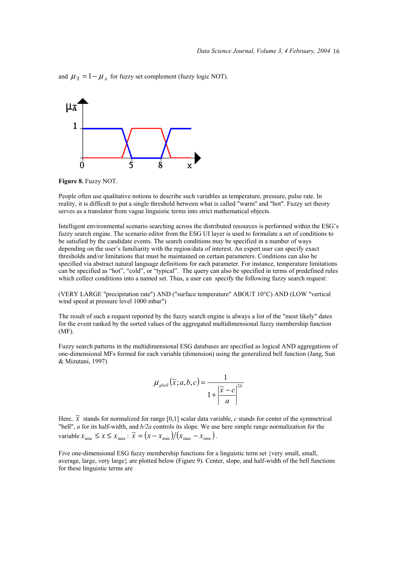and  $\mu_{\overline{A}} = 1 - \mu_A$  for fuzzy set complement (fuzzy logic NOT).



**Figure 8.** Fuzzy NOT.

People often use qualitative notions to describe such variables as temperature, pressure, pulse rate. In reality, it is difficult to put a single threshold between what is called "warm" and "hot". Fuzzy set theory serves as a translator from vague linguistic terms into strict mathematical objects.

Intelligent environmental scenario searching across the distributed resources is performed within the ESG's fuzzy search engine. The scenario editor from the ESG UI layer is used to formulate a set of conditions to be satisfied by the candidate events. The search conditions may be specified in a number of ways depending on the user's familiarity with the region/data of interest. An expert user can specify exact thresholds and/or limitations that must be maintained on certain parameters. Conditions can also be specified via abstract natural language definitions for each parameter. For instance, temperature limitations can be specified as "hot", "cold", or "typical". The query can also be specified in terms of predefined rules which collect conditions into a named set. Thus, a user can specify the following fuzzy search request:

(VERY LARGE "precipitation rate") AND ("surface temperature" ABOUT 10°C) AND (LOW "vertical wind speed at pressure level 1000 mbar")

The result of such a request reported by the fuzzy search engine is always a list of the "most likely" dates for the event ranked by the sorted values of the aggregated multidimensional fuzzy membership function (MF).

Fuzzy search patterns in the multidimensional ESG databases are specified as logical AND aggregations of one-dimensional MFs formed for each variable (dimension) using the generalized bell function (Jang, Sun & Mizutani, 1997)

$$
\mu_{\text{gbell}}(\widetilde{x}; a, b, c) = \frac{1}{1 + \left|\frac{\widetilde{x} - c}{a}\right|^{2b}}
$$

Here,  $\tilde{x}$  stands for normalized for range [0,1] scalar data variable, *c* stands for center of the symmetrical "bell", *a* for its half-width, and *b/2a* controls its slope. We use here simple range normalization for the variable  $x_{\min} \le x \le x_{\max}$ :  $\widetilde{x} = (x - x_{\min})/(x_{\max} - x_{\min})$ .

Five one-dimensional ESG fuzzy membership functions for a linguistic term set {very small, small, average, large, very large} are plotted below (Figure 9). Center, slope, and half-width of the bell functions for these linguistic terms are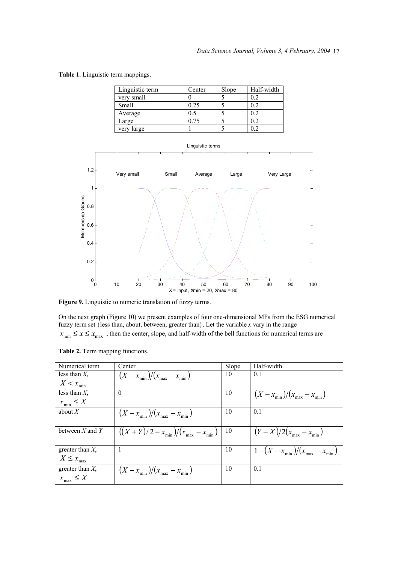**Table 1.** Linguistic term mappings.

| Linguistic term | Center | Slope | Half-width |
|-----------------|--------|-------|------------|
| very small      |        |       | 02         |
| Small           | 0.25   |       | 02         |
| Average         | 0.5    |       | 0.2        |
| Large           | 0.75   |       | 0.2        |
| very large      |        |       |            |



**Figure 9.** Linguistic to numeric translation of fuzzy terms.

On the next graph (Figure 10) we present examples of four one-dimensional MFs from the ESG numerical fuzzy term set {less than, about, between, greater than}. Let the variable *x* vary in the range  $x_{\min} \le x \le x_{\max}$ , then the center, slope, and half-width of the bell functions for numerical terms are

| Numerical term      | Center                                         | Slope | Half-width                                     |
|---------------------|------------------------------------------------|-------|------------------------------------------------|
| less than $X$ .     | $\frac{(X - x_{\min})}{(x_{\max} - x_{\min})}$ | 10    | 0.1                                            |
| $X < x_{\min}$      |                                                |       |                                                |
| less than $X$ ,     | $\theta$                                       | 10    | $\frac{(X - x_{\min})}{(x_{\max} - x_{\min})}$ |
| $x_{\min} \leq X$   |                                                |       |                                                |
| about $X$           | $\frac{(X - x_{\min})}{(x_{\max} - x_{\min})}$ | 10    | 0.1                                            |
|                     |                                                |       |                                                |
| between $X$ and $Y$ | $((X + Y)/2 - x_{min})/(x_{max} - x_{min})$    | 10    | $(Y - X)/2(x_{\text{max}} - x_{\text{min}})$   |
| greater than $X$ ,  |                                                | 10    | $1 - (X - x_{\min})/(x_{\max} - x_{\min})$     |
| $X \leq x_{\max}$   |                                                |       |                                                |
| greater than $X$ ,  | $\frac{(X - x_{\min})}{(x_{\max} - x_{\min})}$ | 10    | 0.1                                            |
| $x_{\max} \leq X$   |                                                |       |                                                |

**Table 2.** Term mapping functions.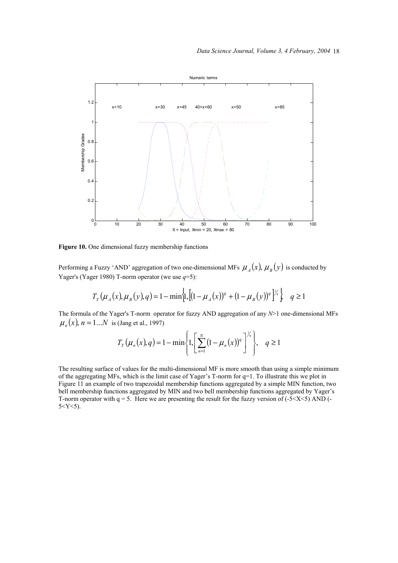

Figure 10. One dimensional fuzzy membership functions

Performing a Fuzzy 'AND' aggregation of two one-dimensional MFs  $\mu_A(x)$ ,  $\mu_B(y)$  is conducted by Yager's (Yager 1980) T-norm operator (we use *q*=5):

$$
T_{Y}(\mu_{A}(x), \mu_{B}(y), q) = 1 - \min \left\{ \left[ (1 - \mu_{A}(x))^{q} + (1 - \mu_{B}(y))^{q} \right]^{Y_{q}} \right\} \quad q \ge 1
$$

The formula of the Yager's T-norm operator for fuzzy AND aggregation of any *N*>1 one-dimensional MFs  $\mu_n(x)$ ,  $n = 1...N$  is (Jang et al., 1997)

$$
T_{Y}(\mu_{n}(x), q) = 1 - \min\left\{1, \left[\sum_{n=1}^{N} (1 - \mu_{n}(x))^{q}\right]^{\frac{1}{q}}\right\}, \quad q \ge 1
$$

The resulting surface of values for the multi-dimensional MF is more smooth than using a simple minimum of the aggregating MFs, which is the limit case of Yager's T-norm for q=1. To illustrate this we plot in Figure 11 an example of two trapezoidal membership functions aggregated by a simple MIN function, two bell membership functions aggregated by MIN and two bell membership functions aggregated by Yager's T-norm operator with  $q = 5$ . Here we are presenting the result for the fuzzy version of  $(-5 < X < 5)$  AND  $(-5 < X < 5)$  $5 < Y < 5$ ).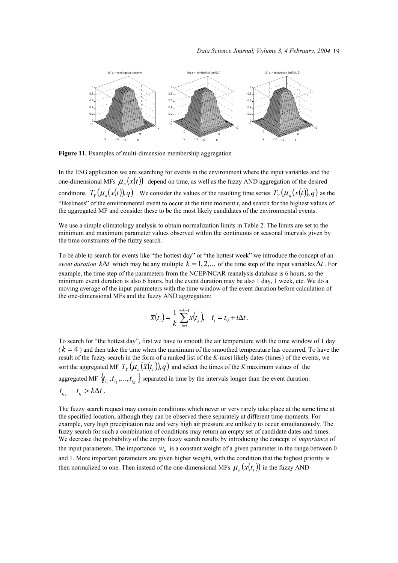

**Figure 11.** Examples of multi-dimension membership aggregation

In the ESG application we are searching for events in the environment where the input variables and the one-dimensional MFs  $\mu_n(x(t))$  depend on time, as well as the fuzzy AND aggregation of the desired conditions  $T_y(\mu_n(x(t)), q)$ . We consider the values of the resulting time series  $T_y(\mu_n(x(t)), q)$  as the "likeliness" of the environmental event to occur at the time moment  $t$ , and search for the highest values of the aggregated MF and consider these to be the most likely candidates of the environmental events.

We use a simple climatology analysis to obtain normalization limits in Table 2. The limits are set to the minimum and maximum parameter values observed within the continuous or seasonal intervals given by the time constraints of the fuzzy search.

To be able to search for events like "the hottest day" or "the hottest week" we introduce the concept of an *event duration*  $k\Delta t$  which may be any multiple  $k = 1, 2, \ldots$  of the time step of the input variables  $\Delta t$ . For example, the time step of the parameters from the NCEP/NCAR reanalysis database is 6 hours, so the minimum event duration is also 6 hours, but the event duration may be also 1 day, 1 week, etc. We do a moving average of the input parameters with the time window of the event duration before calculation of the one-dimensional MFs and the fuzzy AND aggregation:

$$
\bar{x}(t_i) = \frac{1}{k} \sum_{j=i}^{i+k-1} x(t_j), \quad t_i = t_0 + i\Delta t.
$$

To search for "the hottest day", first we have to smooth the air temperature with the time window of 1 day  $(k = 4)$  and then take the time when the maximum of the smoothed temperature has occurred. To have the result of the fuzzy search in the form of a ranked list of the *K-*most likely dates (times) of the events, we sort the aggregated MF  $T_y(\mu_n(\bar{x}(t_i)), q)$  and select the times of the *K* maximum values of the aggregated MF  $\{t_{i_1}, t_{i_2},..., t_{i_K}\}$  separated in time by the intervals longer than the event duration:  $t_{i_{i+1}} - t_{i_i} > k\Delta t$ .

The fuzzy search request may contain conditions which never or very rarely take place at the same time at the specified location, although they can be observed there separately at different time moments. For example, very high precipitation rate and very high air pressure are unlikely to occur simultaneously. The fuzzy search for such a combination of conditions may return an empty set of candidate dates and times. We decrease the probability of the empty fuzzy search results by introducing the concept of *importance* of the input parameters. The importance  $W<sub>n</sub>$  is a constant weight of a given parameter in the range between 0 and 1. More important parameters are given higher weight, with the condition that the highest priority is then normalized to one. Then instead of the one-dimensional MFs  $\mu_n(x(t_i))$  in the fuzzy AND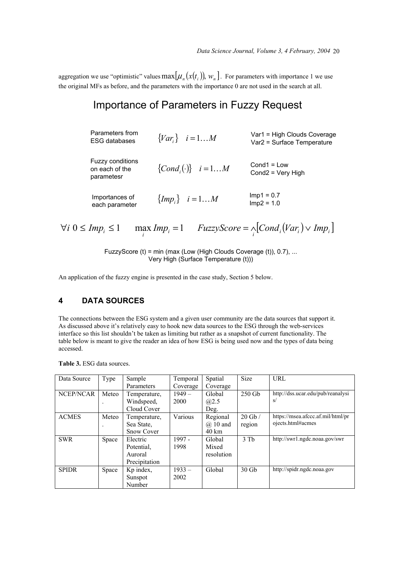aggregation we use "optimistic" values  $\max[\mu_n(x(t_i))], w_n]$ . For parameters with importance 1 we use the original MFs as before, and the parameters with the importance 0 are not used in the search at all.

# Importance of Parameters in Fuzzy Request

| Parameters from<br><b>ESG databases</b>                 | $\{Var_i\}$ $i=1M$            | Var1 = High Clouds Coverage<br>Var2 = Surface Temperature |
|---------------------------------------------------------|-------------------------------|-----------------------------------------------------------|
| <b>Fuzzy conditions</b><br>on each of the<br>parametesr | $\{Cond_i(\cdot)\}\quad i=1M$ | $Cond1 = Low$<br>Cond2 = Very High                        |
| Importances of<br>each parameter                        | ${Impi}$ $i = 1M$             | $Imp1 = 0.7$<br>$Imp2 = 1.0$                              |

 $\forall i \ 0 \leq Imp_i \leq 1$   $\max_i Imp_i = 1$   $FuzzyScore = \bigwedge_i [Cond_i (Var_i) \vee Imp_i]$ 

FuzzyScore (t) = min (max (Low (High Clouds Coverage (t)), 0.7), ... Very High (Surface Temperature (t)))

An application of the fuzzy engine is presented in the case study, Section 5 below.

## **4 DATA SOURCES**

The connections between the ESG system and a given user community are the data sources that support it. As discussed above it's relatively easy to hook new data sources to the ESG through the web-services interface so this list shouldn't be taken as limiting but rather as a snapshot of current functionality. The table below is meant to give the reader an idea of how ESG is being used now and the types of data being accessed.

| Data Source  | Type  | Sample            | Temporal | Spatial         | <b>Size</b> | URL                               |
|--------------|-------|-------------------|----------|-----------------|-------------|-----------------------------------|
|              |       | Parameters        | Coverage | Coverage        |             |                                   |
| NCEP/NCAR    | Meteo | Temperature,      | $1949-$  | Global          | $250$ Gb    | http://dss.ucar.edu/pub/reanalysi |
|              |       | Windspeed,        | 2000     | (a)2.5          |             | s/                                |
|              |       | Cloud Cover       |          | Deg.            |             |                                   |
| <b>ACMES</b> | Meteo | Temperature,      | Various  | Regional        | $20$ Gb $/$ | https://msea.afccc.af.mil/html/pr |
|              |       | Sea State,        |          | $\omega$ 10 and | region      | ojects.html#acmes                 |
|              |       | <b>Snow Cover</b> |          | $40 \text{ km}$ |             |                                   |
| <b>SWR</b>   | Space | Electric          | $1997 -$ | Global          | $3$ Th      | http://swr1.ngdc.noaa.gov/swr     |
|              |       | Potential.        | 1998     | Mixed           |             |                                   |
|              |       | Auroral           |          | resolution      |             |                                   |
|              |       | Precipitation     |          |                 |             |                                   |
| <b>SPIDR</b> | Space | Kp index,         | $1933 -$ | Global          | $30$ Gb     | http://spidr.ngdc.noaa.gov        |
|              |       | Sunspot           | 2002     |                 |             |                                   |
|              |       | Number            |          |                 |             |                                   |

**Table 3.** ESG data sources.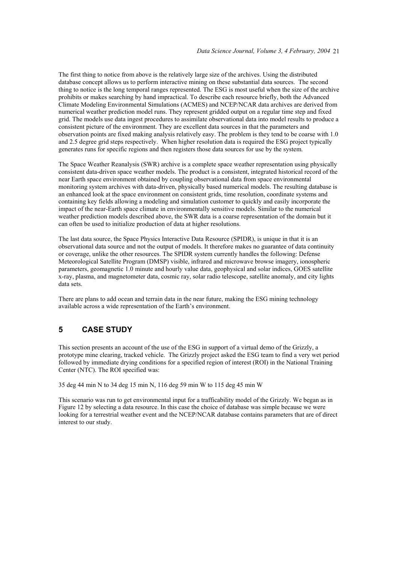The first thing to notice from above is the relatively large size of the archives. Using the distributed database concept allows us to perform interactive mining on these substantial data sources. The second thing to notice is the long temporal ranges represented. The ESG is most useful when the size of the archive prohibits or makes searching by hand impractical. To describe each resource briefly, both the Advanced Climate Modeling Environmental Simulations (ACMES) and NCEP/NCAR data archives are derived from numerical weather prediction model runs. They represent gridded output on a regular time step and fixed grid. The models use data ingest procedures to assimilate observational data into model results to produce a consistent picture of the environment. They are excellent data sources in that the parameters and observation points are fixed making analysis relatively easy. The problem is they tend to be coarse with 1.0 and 2.5 degree grid steps respectively. When higher resolution data is required the ESG project typically generates runs for specific regions and then registers those data sources for use by the system.

The Space Weather Reanalysis (SWR) archive is a complete space weather representation using physically consistent data-driven space weather models. The product is a consistent, integrated historical record of the near Earth space environment obtained by coupling observational data from space environmental monitoring system archives with data-driven, physically based numerical models. The resulting database is an enhanced look at the space environment on consistent grids, time resolution, coordinate systems and containing key fields allowing a modeling and simulation customer to quickly and easily incorporate the impact of the near-Earth space climate in environmentally sensitive models. Similar to the numerical weather prediction models described above, the SWR data is a coarse representation of the domain but it can often be used to initialize production of data at higher resolutions.

The last data source, the Space Physics Interactive Data Resource (SPIDR), is unique in that it is an observational data source and not the output of models. It therefore makes no guarantee of data continuity or coverage, unlike the other resources. The SPIDR system currently handles the following: Defense Meteorological Satellite Program (DMSP) visible, infrared and microwave browse imagery, ionospheric parameters, geomagnetic 1.0 minute and hourly value data, geophysical and solar indices, GOES satellite x-ray, plasma, and magnetometer data, cosmic ray, solar radio telescope, satellite anomaly, and city lights data sets.

There are plans to add ocean and terrain data in the near future, making the ESG mining technology available across a wide representation of the Earth's environment.

### **5 CASE STUDY**

This section presents an account of the use of the ESG in support of a virtual demo of the Grizzly, a prototype mine clearing, tracked vehicle. The Grizzly project asked the ESG team to find a very wet period followed by immediate drying conditions for a specified region of interest (ROI) in the National Training Center (NTC). The ROI specified was:

35 deg 44 min N to 34 deg 15 min N, 116 deg 59 min W to 115 deg 45 min W

This scenario was run to get environmental input for a trafficability model of the Grizzly. We began as in Figure 12 by selecting a data resource. In this case the choice of database was simple because we were looking for a terrestrial weather event and the NCEP/NCAR database contains parameters that are of direct interest to our study.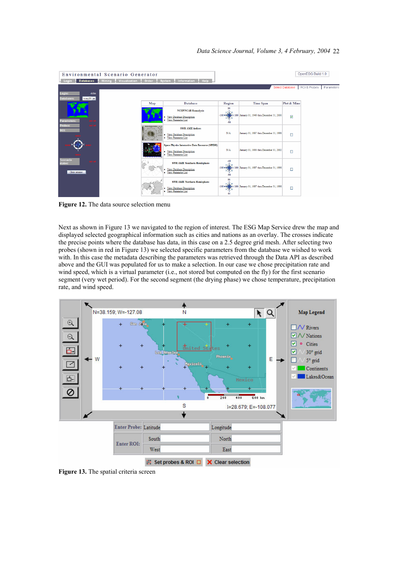| <b>Databases</b><br>Login                   | Environmental Scenario Generator<br>Mining Visualization Order System Information Help |                                                                                                                      |                |                                                        |                         | OpenESG Build 1.0         |  |
|---------------------------------------------|----------------------------------------------------------------------------------------|----------------------------------------------------------------------------------------------------------------------|----------------|--------------------------------------------------------|-------------------------|---------------------------|--|
| Login:<br>ekihn                             |                                                                                        |                                                                                                                      |                |                                                        | Select Database         | ROI & Probes   Parameters |  |
| <b>Databases:</b><br>$ncep25$ $\vee$        | Map                                                                                    | <b>Database</b>                                                                                                      | Region         | <b>Time Span</b>                                       | Plot & Mine             |                           |  |
| <b>Parameters:</b>                          |                                                                                        | <b>NCEP/NCAR Reanalysis</b><br>• View Database Description<br>• View Parameter List                                  | $-90$          | 180 w 31, 2000 January 01, 1949 thru December 31, 2000 | $\overline{\mathbf{v}}$ |                           |  |
| Probes:<br><b>ROI:</b>                      |                                                                                        | <b>SWR AMIE indices</b><br>· View Database Description<br>• View Parameter List                                      | N/A            | January 01, 1997 thru December 31, 1998                | п                       |                           |  |
|                                             |                                                                                        | <b>Space Physics Interactive Data Resource (SPIDR)</b><br>View Database Description<br>۰<br>View Parameter List<br>٠ | N/A            | January 01, 1933 thru December 31, 2002                | п                       |                           |  |
| <b>Scenario</b><br>states:<br>Clear session |                                                                                        | <b>SWR AMIE Southern Hemisphere</b><br>View Database Description<br>View Parameter List                              | $-44$<br>$-90$ | 180 with 180 January 01, 1997 thru December 31, 1998   | П                       |                           |  |
|                                             |                                                                                        | <b>SWR AMIE Northern Hemisphere</b><br>• View Database Description<br>View Parameter List                            | 96             | 180 with 180 January 01, 1997 thru December 31, 1998   | □                       |                           |  |

**Figure 12.** The data source selection menu

Next as shown in Figure 13 we navigated to the region of interest. The ESG Map Service drew the map and displayed selected geographical information such as cities and nations as an overlay. The crosses indicate the precise points where the database has data, in this case on a 2.5 degree grid mesh. After selecting two probes (shown in red in Figure 13) we selected specific parameters from the database we wished to work with. In this case the metadata describing the parameters was retrieved through the Data API as described above and the GUI was populated for us to make a selection. In our case we chose precipitation rate and wind speed, which is a virtual parameter (i.e., not stored but computed on the fly) for the first scenario segment (very wet period). For the second segment (the drying phase) we chose temperature, precipitation rate, and wind speed.



**Figure 13.** The spatial criteria screen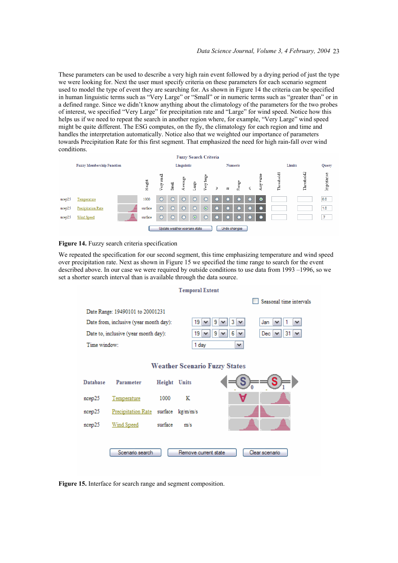These parameters can be used to describe a very high rain event followed by a drying period of just the type we were looking for. Next the user must specify criteria on these parameters for each scenario segment used to model the type of event they are searching for. As shown in Figure 14 the criteria can be specified in human linguistic terms such as "Very Large" or "Small" or in numeric terms such as "greater than" or in a defined range. Since we didn't know anything about the climatology of the parameters for the two probes of interest, we specified "Very Large" for precipitation rate and "Large" for wind speed. Notice how this helps us if we need to repeat the search in another region where, for example, "Very Large" wind speed might be quite different. The ESG computes, on the fly, the climatology for each region and time and handles the interpretation automatically. Notice also that we weighted our importance of parameters towards Precipitation Rate for this first segment. That emphasized the need for high rain-fall over wind conditions.



#### **Figure 14.** Fuzzy search criteria specification

We repeated the specification for our second segment, this time emphasizing temperature and wind speed over precipitation rate. Next as shown in Figure 15 we specified the time range to search for the event described above. In our case we were required by outside conditions to use data from 1993 –1996, so we set a shorter search interval than is available through the data source.



**Figure 15.** Interface for search range and segment composition.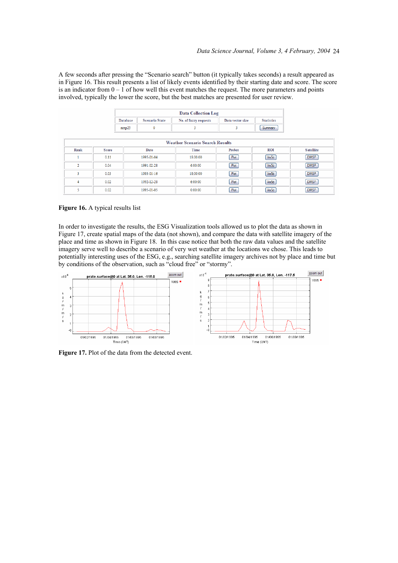A few seconds after pressing the "Scenario search" button (it typically takes seconds) a result appeared as in Figure 16. This result presents a list of likely events identified by their starting date and score. The score is an indicator from  $0 - 1$  of how well this event matches the request. The more parameters and points involved, typically the lower the score, but the best matches are presented for user review.

|                |              | <b>Scenario State</b><br><b>Statistics</b><br>Database<br>No. of fuzzy requests<br>Data vector size |             |                                        |        |            |                  |
|----------------|--------------|-----------------------------------------------------------------------------------------------------|-------------|----------------------------------------|--------|------------|------------------|
|                |              | ncep25                                                                                              | $\mathbf 0$ | 3                                      | 3      | Summary    |                  |
|                |              |                                                                                                     |             |                                        |        |            |                  |
|                |              |                                                                                                     |             | <b>Weather Scenario Search Results</b> |        |            |                  |
| Rank           | <b>Score</b> |                                                                                                     | Date        | Time                                   | Probes | <b>ROI</b> | <b>Satellite</b> |
|                | 0.11         |                                                                                                     | 1995-01-04  | 18:00:00                               | Plot   | Vis5d      | <b>DMSP</b>      |
| $\overline{2}$ | 0.04         |                                                                                                     | 1991-02-28  | 6:00:00                                | Plot   | Vis5d      | <b>DMSP</b>      |
| 3              | 0.03         |                                                                                                     | 1993-01-16  | 18:00:00                               | Plot   | Vis5d      | <b>DMSP</b>      |
| 4              | 0.02         |                                                                                                     | 1992-12-28  | 6:00:00                                | Plot   | Vis5d      | <b>DMSP</b>      |
| 5              | 0.02         |                                                                                                     | 1995-01-05  | 0:00:00                                | Plot   | Vis5d      | <b>DMSP</b>      |

**Figure 16.** A typical results list

In order to investigate the results, the ESG Visualization tools allowed us to plot the data as shown in Figure 17, create spatial maps of the data (not shown), and compare the data with satellite imagery of the place and time as shown in Figure 18. In this case notice that both the raw data values and the satellite imagery serve well to describe a scenario of very wet weather at the locations we chose. This leads to potentially interesting uses of the ESG, e.g., searching satellite imagery archives not by place and time but by conditions of the observation, such as "cloud free" or "stormy".



Figure 17. Plot of the data from the detected event.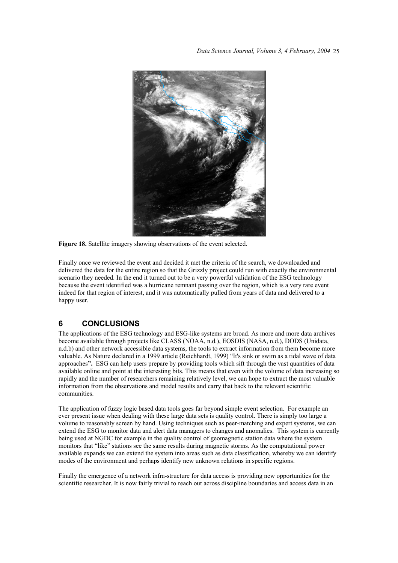

**Figure 18.** Satellite imagery showing observations of the event selected.

Finally once we reviewed the event and decided it met the criteria of the search, we downloaded and delivered the data for the entire region so that the Grizzly project could run with exactly the environmental scenario they needed. In the end it turned out to be a very powerful validation of the ESG technology because the event identified was a hurricane remnant passing over the region, which is a very rare event indeed for that region of interest, and it was automatically pulled from years of data and delivered to a happy user.

#### **6 CONCLUSIONS**

The applications of the ESG technology and ESG-like systems are broad. As more and more data archives become available through projects like CLASS (NOAA, n.d.), EOSDIS (NASA, n.d.), DODS (Unidata, n.d.b) and other network accessible data systems, the tools to extract information from them become more valuable. As Nature declared in a 1999 article (Reichhardt, 1999) "It's sink or swim as a tidal wave of data approaches**".** ESG can help users prepare by providing tools which sift through the vast quantities of data available online and point at the interesting bits. This means that even with the volume of data increasing so rapidly and the number of researchers remaining relatively level, we can hope to extract the most valuable information from the observations and model results and carry that back to the relevant scientific communities.

The application of fuzzy logic based data tools goes far beyond simple event selection. For example an ever present issue when dealing with these large data sets is quality control. There is simply too large a volume to reasonably screen by hand. Using techniques such as peer-matching and expert systems, we can extend the ESG to monitor data and alert data managers to changes and anomalies. This system is currently being used at NGDC for example in the quality control of geomagnetic station data where the system monitors that "like" stations see the same results during magnetic storms. As the computational power available expands we can extend the system into areas such as data classification, whereby we can identify modes of the environment and perhaps identify new unknown relations in specific regions.

Finally the emergence of a network infra-structure for data access is providing new opportunities for the scientific researcher. It is now fairly trivial to reach out across discipline boundaries and access data in an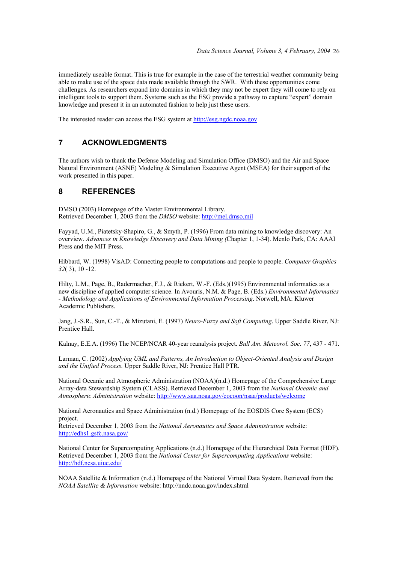immediately useable format. This is true for example in the case of the terrestrial weather community being able to make use of the space data made available through the SWR. With these opportunities come challenges. As researchers expand into domains in which they may not be expert they will come to rely on intelligent tools to support them. Systems such as the ESG provide a pathway to capture "expert" domain knowledge and present it in an automated fashion to help just these users.

The interested reader can access the ESG system at http://esg.ngdc.noaa.gov

### **7 ACKNOWLEDGMENTS**

The authors wish to thank the Defense Modeling and Simulation Office (DMSO) and the Air and Space Natural Environment (ASNE) Modeling & Simulation Executive Agent (MSEA) for their support of the work presented in this paper.

#### **8 REFERENCES**

DMSO (2003) Homepage of the Master Environmental Library. Retrieved December 1, 2003 from the *DMSO* website: http://mel.dmso.mil

Fayyad, U.M., Piatetsky-Shapiro, G., & Smyth, P. (1996) From data mining to knowledge discovery: An overview. *Advances in Knowledge Discovery and Data Mining (*Chapter 1, 1-34). Menlo Park, CA: AAAI Press and the MIT Press.

Hibbard, W. (1998) VisAD: Connecting people to computations and people to people. *Computer Graphics 32*( 3), 10 -12.

Hilty, L.M., Page, B., Radermacher, F.J., & Riekert, W.-F. (Eds.)(1995) Environmental informatics as a new discipline of applied computer science. In Avouris, N.M. & Page, B. (Eds.) *Environmental Informatics - Methodology and Applications of Environmental Information Processing*. Norwell, MA: Kluwer Academic Publishers.

Jang, J.-S.R., Sun, C.-T., & Mizutani, E. (1997) *Neuro-Fuzzy and Soft Computing*. Upper Saddle River, NJ: Prentice Hall.

Kalnay, E.E.A. (1996) The NCEP/NCAR 40-year reanalysis project. *Bull Am. Meteorol. Soc. 77*, 437 - 471.

Larman, C. (2002) *Applying UML and Patterns, An Introduction to Object-Oriented Analysis and Design and the Unified Process.* Upper Saddle River, NJ: Prentice Hall PTR.

National Oceanic and Atmospheric Administration (NOAA)(n.d.) Homepage of the Comprehensive Large Array-data Stewardship System (CLASS). Retrieved December 1, 2003 from the *National Oceanic and Atmospheric Administration* website: http://www.saa.noaa.gov/cocoon/nsaa/products/welcome

National Aeronautics and Space Administration (n.d.) Homepage of the EOSDIS Core System (ECS) project.

Retrieved December 1, 2003 from the *National Aeronautics and Space Administration* website: http://edhs1.gsfc.nasa.gov/

National Center for Supercomputing Applications (n.d.) Homepage of the Hierarchical Data Format (HDF). Retrieved December 1, 2003 from the *National Center for Supercomputing Applications* website: http://hdf.ncsa.uiuc.edu/

NOAA Satellite & Information (n.d.) Homepage of the National Virtual Data System. Retrieved from the *NOAA Satellite & Information* website: http://nndc.noaa.gov/index.shtml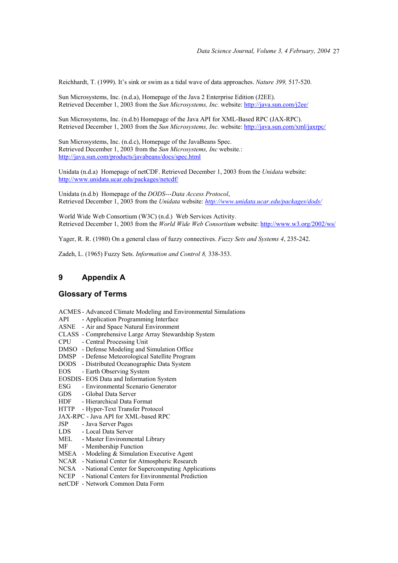Reichhardt, T. (1999). It's sink or swim as a tidal wave of data approaches. *Nature 399,* 517-520.

Sun Microsystems, Inc. (n.d.a), Homepage of the Java 2 Enterprise Edition (J2EE). Retrieved December 1, 2003 from the *Sun Microsystems, Inc.* website: http://java.sun.com/j2ee/

Sun Microsystems, Inc. (n.d.b) Homepage of the Java API for XML-Based RPC (JAX-RPC). Retrieved December 1, 2003 from the *Sun Microsystems, Inc.* website: http://java.sun.com/xml/jaxrpc/

Sun Microsystems, Inc. (n.d.c), Homepage of the JavaBeans Spec. Retrieved December 1, 2003 from the *Sun Microsystems, Inc* website*.*: http://java.sun.com/products/javabeans/docs/spec.html

Unidata (n.d.a) Homepage of netCDF. Retrieved December 1, 2003 from the *Unidata* website: http://www.unidata.ucar.edu/packages/netcdf/

Unidata (n.d.b) Homepage of the *DODS---Data Access Protocol*, Retrieved December 1, 2003 from the *Unidata* website: *http://www.unidata.ucar.edu/packages/dods/*

World Wide Web Consortium (W3C) (n.d.) Web Services Activity. Retrieved December 1, 2003 from the *World Wide Web Consortium* website: http://www.w3.org/2002/ws/

Yager, R. R. (1980) On a general class of fuzzy connectives. *Fuzzy Sets and Systems 4*, 235-242.

Zadeh, L. (1965) Fuzzy Sets. *Information and Control 8,* 338-353.

#### **9 Appendix A**

#### **Glossary of Terms**

- ACMES Advanced Climate Modeling and Environmental Simulations
- API Application Programming Interface
- ASNE Air and Space Natural Environment
- CLASS Comprehensive Large Array Stewardship System
- CPU Central Processing Unit
- DMSO Defense Modeling and Simulation Office
- DMSP Defense Meteorological Satellite Program
- DODS Distributed Oceanographic Data System
- EOS Earth Observing System
- EOSDIS EOS Data and Information System
- ESG Environmental Scenario Generator
- GDS Global Data Server
- HDF Hierarchical Data Format
- HTTP Hyper-Text Transfer Protocol
- JAX-RPC Java API for XML-based RPC
- JSP Java Server Pages
- LDS Local Data Server
- MEL Master Environmental Library
- MF Membership Function
- MSEA Modeling & Simulation Executive Agent
- NCAR National Center for Atmospheric Research
- NCSA National Center for Supercomputing Applications
- NCEP National Centers for Environmental Prediction
- netCDF Network Common Data Form